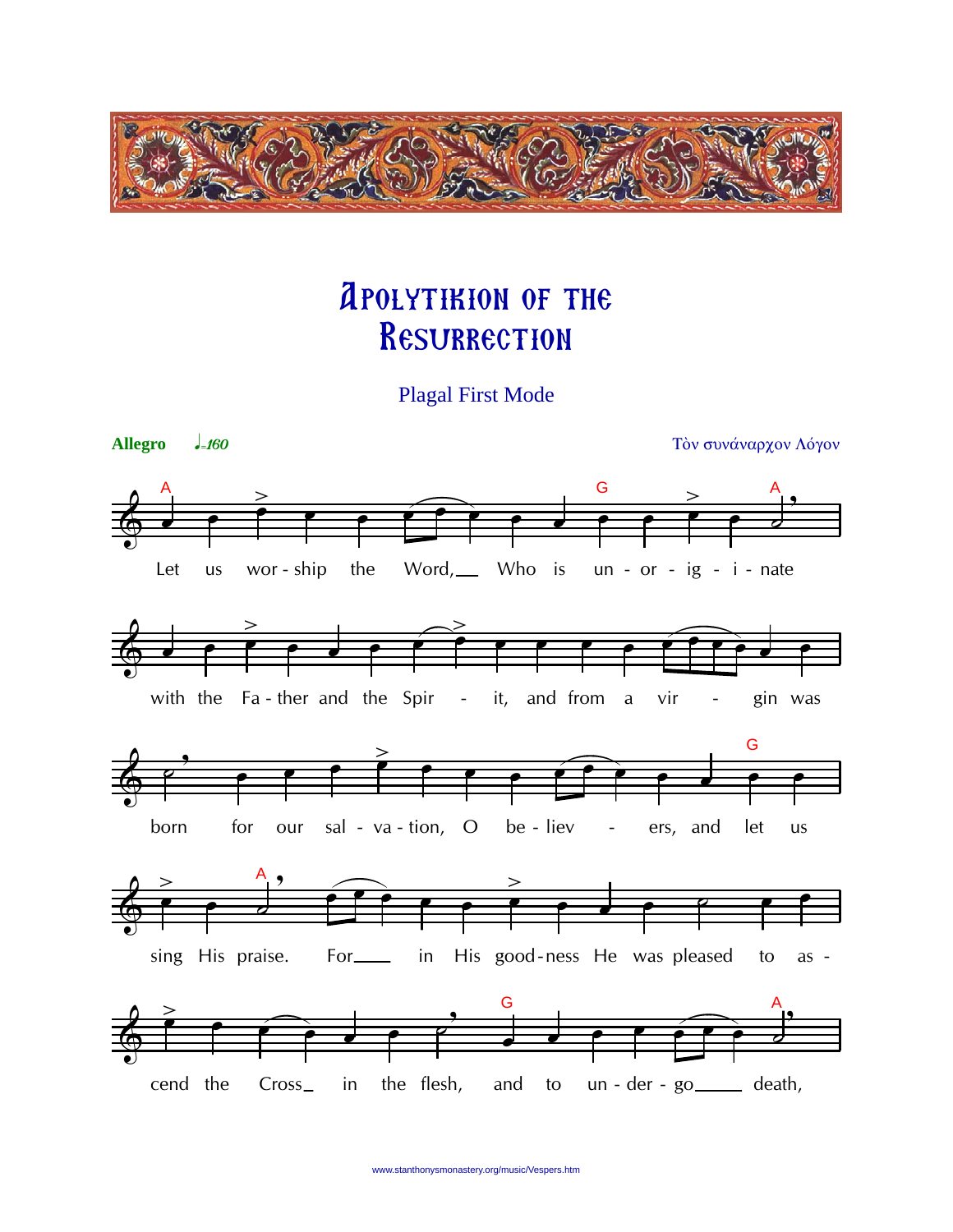

## **APOLYTIKION OF THE** RESURRECTION

**Plagal First Mode** 

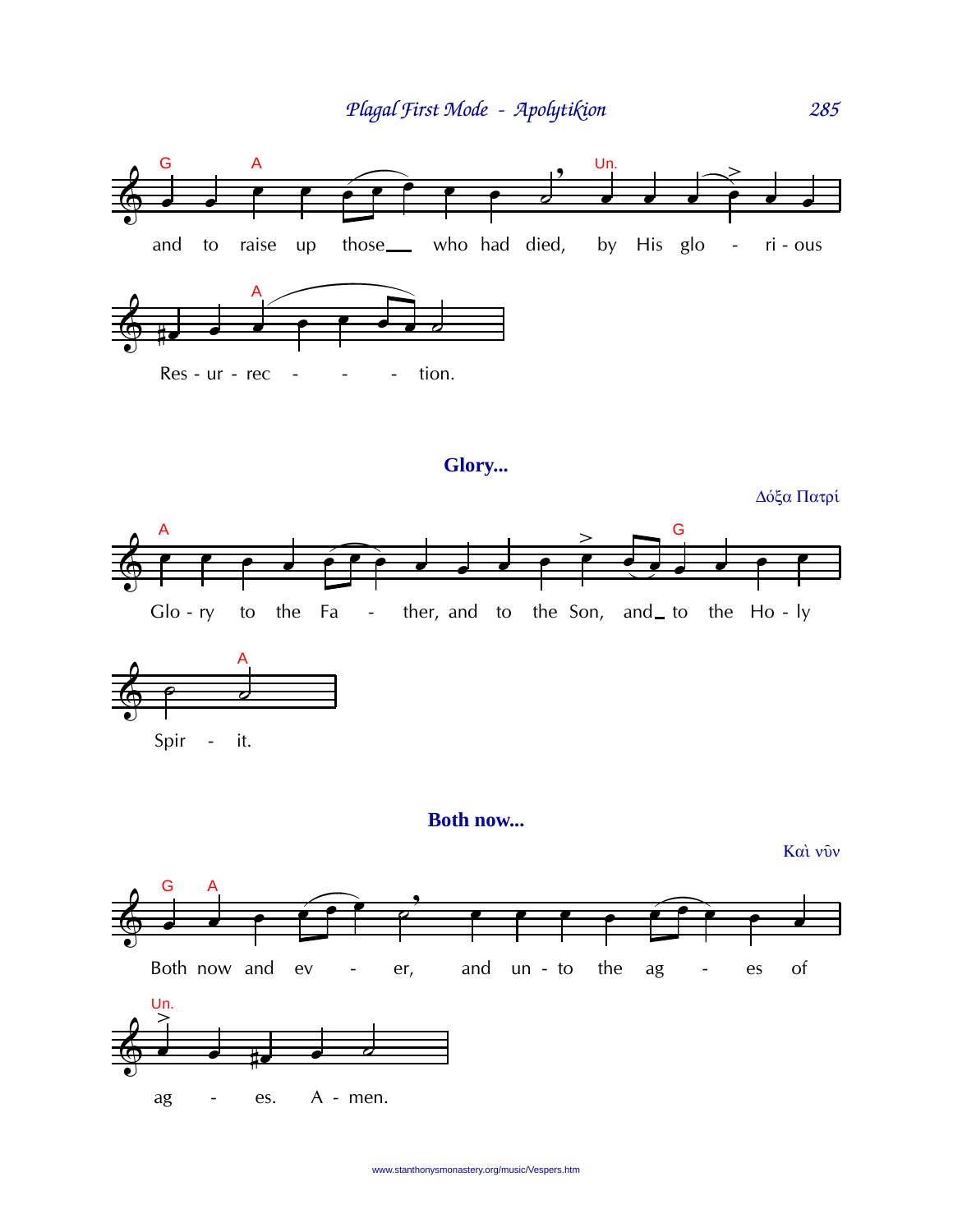

## Glory...

Δόξα Πατρί





## Both now...

Και νύν